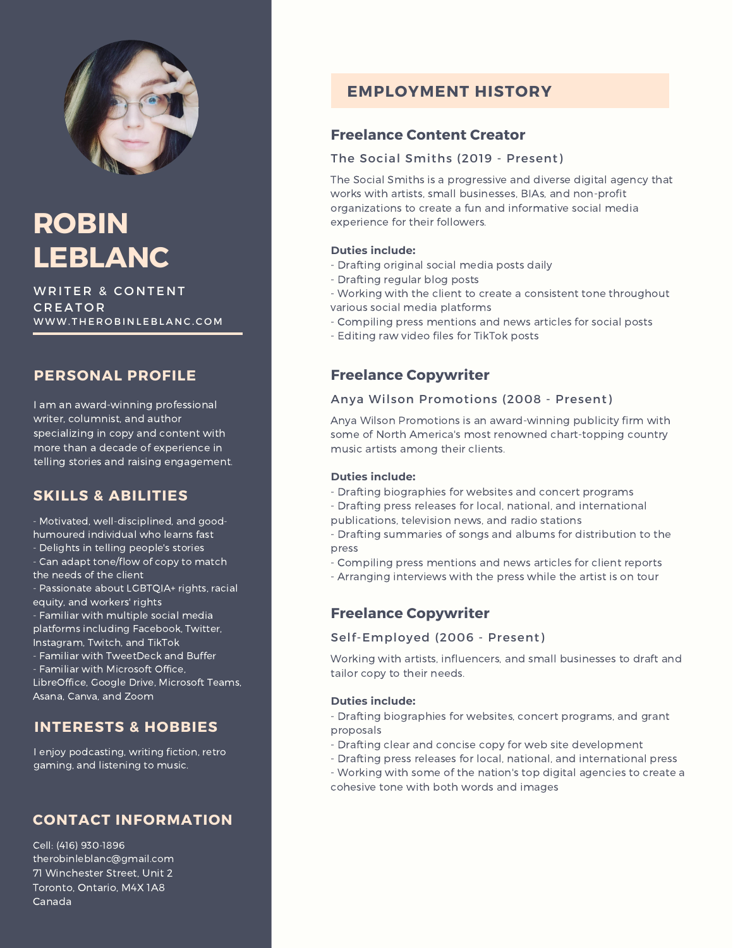

# **ROBIN LEBLANC**

WRITER & CONTENT C R E A T O R WWW. THE ROBINLE BLANC. COM

## **PERSONAL PROFILE**

I am an award-winning professional writer, columnist, and author specializing in copy and content with more than a decade of experience in telling stories and raising engagement.

## **SKILLS & ABILITIES**

- Motivated, well-disciplined, and goodhumoured individual who learns fast

- Delights in telling people's stories
- Can adapt tone/flow of copy to match the needs of the client

- Passionate about LGBTQIA+ rights, racial equity, and workers' rights

- Familiar with multiple social media platforms including Facebook, Twitter, Instagram, Twitch, and TikTok

- Familiar with TweetDeck and Buffer

- Familiar with Microsoft Office,

LibreOffice, Google Drive, Microsoft Teams, Asana, Canva, and Zoom

## **INTERESTS & HOBBIES**

I enjoy podcasting, writing fiction, retro gaming, and listening to music.

## **CONTACT INFORMATION**

Cell: (416) 930-1896 therobinleblanc@gmail.com 71 Winchester Street, Unit 2 Toronto, Ontario, M4X 1A8 Canada

## **EMPLOYMENT HISTORY**

## **Freelance Content Creator**

#### The Social Smiths (2019 - Present)

The Social Smiths is a progressive and diverse digital agency that works with artists, small businesses, BIAs, and non-profit organizations to create a fun and informative social media experience for their followers.

#### **Duties include:**

- Drafting original social media posts daily
- Drafting regular blog posts
- Working with the client to create a consistent tone throughout various social media platforms
- Compiling press mentions and news articles for social posts
- Editing raw video files for TikTok posts

## **Freelance Copywriter**

#### Anya Wilson Promotions (2008 - Present)

Anya Wilson Promotions is an award-winning publicity firm with some of North America's most renowned chart-topping country music artists among their clients.

#### **Duties include:**

- Drafting biographies for websites and concert programs
- Drafting press releases for local, national, and international publications, television news, and radio stations
- Drafting summaries of songs and albums for distribution to the press
- Compiling press mentions and news articles for client reports
- Arranging interviews with the press while the artist is on tour

## **Freelance Copywriter**

#### Self-Employed (2006 - Present)

Working with artists, influencers, and small businesses to draft and tailor copy to their needs.

#### **Duties include:**

- Drafting biographies for websites, concert programs, and grant proposals
- Drafting clear and concise copy for web site development
- Drafting press releases for local, national, and international press
- Working with some of the nation's top digital agencies to create a cohesive tone with both words and images